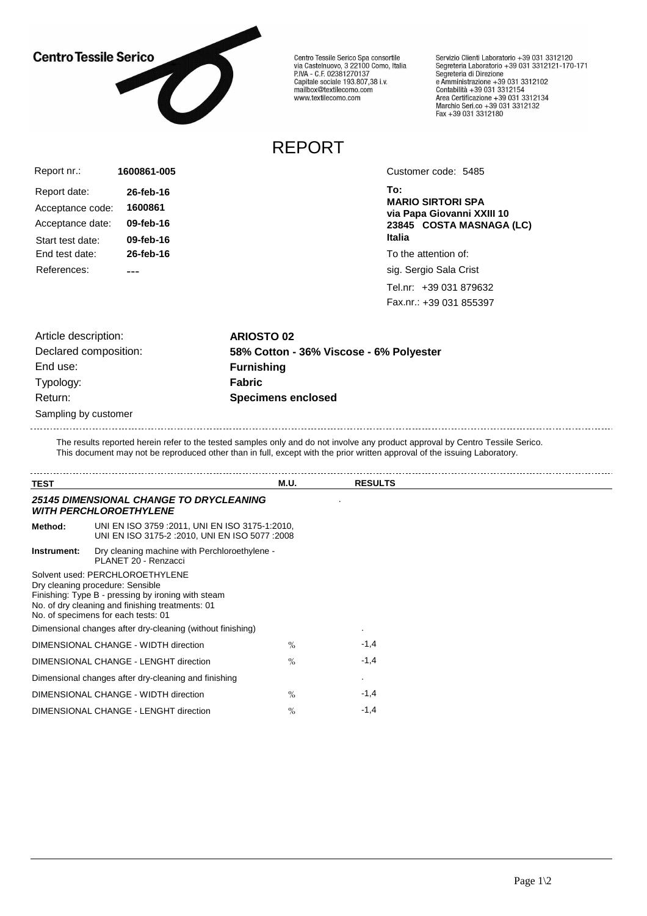## **Centro Tessile Serico**



Centro Tessile Serico Spa consortile<br>via Castelnuovo, 3 22100 Como, Italia<br>P.IVA - C.F. 02381270137 Capitale sociale 193.807,38 i.v.<br>Capitale sociale 193.807,38 i.v.<br>mailbox@textilecomo.com www.textilecomo.com

Servizio Clienti Laboratorio +39 031 3312120 Servizio che il Laboratorio +39 031 3312121-170-171<br>Segreteria Laboratorio +39 031 3312121-170-171 Segreteria di Direzione<br>e Amministrazione +39 031 3312102<br>Contabilità +39 031 3312154<br>Area Certificazione +39 031 3312134<br>Marchio Seri.co +39 031 3312132<br>Fax +39 031 3312180

## REPORT

| Report nr.:      | 1600861-005 |
|------------------|-------------|
| Report date:     | 26-feb-16   |
| Acceptance code: | 1600861     |
| Acceptance date: | 09-feb-16   |
| Start test date: | 09-feb-16   |
| End test date:   | 26-feb-16   |
| References:      |             |

Customer code: 5485

**To: MARIO SIRTORI SPA via Papa Giovanni XXIII 10 23845 COSTA MASNAGA (LC) Italia**

To the attention of:

sig. Sergio Sala Crist

Tel.nr: +39 031 879632 Fax.nr.: +39 031 855397

Sampling by customer Article description: **ARIOSTO 02** End use: **Furnishing** Typology: **Fabric** Return: **Specimens enclosed**

Declared composition: **58% Cotton - 36% Viscose - 6% Polyester**

The results reported herein refer to the tested samples only and do not involve any product approval by Centro Tessile Serico. This document may not be reproduced other than in full, except with the prior written approval of the issuing Laboratory.

| <b>TEST</b> |                                                                                                                                                                                                                      | M.U. | <b>RESULTS</b> |  |
|-------------|----------------------------------------------------------------------------------------------------------------------------------------------------------------------------------------------------------------------|------|----------------|--|
|             | <b>25145 DIMENSIONAL CHANGE TO DRYCLEANING</b><br><b><i>WITH PERCHLOROETHYLENE</i></b>                                                                                                                               |      |                |  |
| Method:     | UNI EN ISO 3759 : 2011, UNI EN ISO 3175-1:2010,<br>UNI EN ISO 3175-2 : 2010, UNI EN ISO 5077 : 2008                                                                                                                  |      |                |  |
| Instrument: | Dry cleaning machine with Perchloroethylene -<br>PLANET 20 - Renzacci                                                                                                                                                |      |                |  |
|             | Solvent used: PERCHLOROETHYLENE<br>Dry cleaning procedure: Sensible<br>Finishing: Type B - pressing by ironing with steam<br>No. of dry cleaning and finishing treatments: 01<br>No. of specimens for each tests: 01 |      |                |  |
|             | Dimensional changes after dry-cleaning (without finishing)                                                                                                                                                           |      | ٠              |  |
|             | DIMENSIONAL CHANGE - WIDTH direction                                                                                                                                                                                 | $\%$ | $-1,4$         |  |
|             | DIMENSIONAL CHANGE - LENGHT direction                                                                                                                                                                                | $\%$ | $-1,4$         |  |
|             | Dimensional changes after dry-cleaning and finishing                                                                                                                                                                 |      |                |  |
|             | DIMENSIONAL CHANGE - WIDTH direction                                                                                                                                                                                 | $\%$ | $-1,4$         |  |
|             | DIMENSIONAL CHANGE - LENGHT direction                                                                                                                                                                                | $\%$ | $-1,4$         |  |
|             |                                                                                                                                                                                                                      |      |                |  |